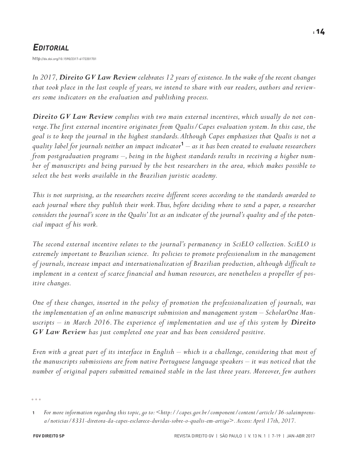# *EDITORIAL*

http://dx.doi.org/10.1590/2317-6172201701

*In 2017,Direito GV Law Review celebrates 12 years of existence.In the wake of the recent changes* that took place in the last couple of years, we intend to share with our readers, authors and review*ers some indicators on the evaluation and publishing process.*

*Direito GV Law Review complies with two main external incentives, which usually do not converge.The first external incentive originates from Qualis/Capes evaluation system. In this case, the* goal is to keep the journal in the highest standards. Although Capes emphasizes that Qualis is not a quality label for journals neither an impact indicator $^{\mathbf{1}}-$  as it has been created to evaluate researchers *from postgraduation programs –, being in the highest standards results in receiving a higher number of manuscripts and being pursued by the best researchers in the area, which makes possible to select the best works available in the Brazilian juristic academy.*

*This* is not surprising, as the researchers receive different scores according to the standards awarded to *each journal where they publish their work.Thus, before deciding where to send a paper, a researcher* considers the journal's score in the Qualis' list as an indicator of the journal's quality and of the poten*cial impact of his work.*

*The second external incentive relates to the journal's permanency in SciELO collection. SciELO is extremely important to Brazilian science. Its policies to promote professionalism in the management of journals, increase impact and internationalization of Brazilian production,although difficult to* implement in a context of scarce financial and human resources, are nonetheless a propeller of pos*itive changes.*

*One of these changes, inserted in the policy of promotion the professionalization of journals, was the implementation of an online manuscript submission and management system – ScholarOne Manuscripts – in March 2016. The experience of implementation and use of this system by Direito GV Law Review has just completed one year and has been considered positive.*

Even with a great part of its interface in English – which is a challenge, considering that most of *the manuscripts submissions are from native Portuguese language speakers – it was noticed that the number of original papers submitted remained stable in the last three years. Moreover, few authors*

**<sup>1</sup>** *For more information regarding this topic,go to:[<http://capes.gov.br/component/content/article/36-salaimprens](http://capes.gov.br/component/content/article/36-salaimprensa/noticias/8331-diretora-da-capes-esclarece-duvidas-sobre-o-qualis-em-artigo)[a/noticias/8331-diretora-da-capes-esclarece-duvidas-sobre-o-qualis-em-artigo>](http://capes.gov.br/component/content/article/36-salaimprensa/noticias/8331-diretora-da-capes-esclarece-duvidas-sobre-o-qualis-em-artigo). Access: April 17th, 2017.*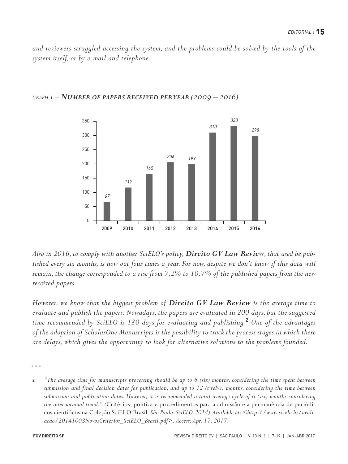*and reviewers struggled accessing the system, and the problems could be solved by the tools of the system itself, or by e-mail and telephone.*



*GRAPH 1 –NUMBER OF PAPERS RECEIVED PERYEAR (2009 – 2016)*

*Also in 2016, to comply with another SciELO's policy, Direito GV Law Review, that used be pub*lished every six months, is now out four times a year. For now, despite we don't know if this data will *remain, the change corresponded to a rise from 7,2% to 10,7% of the published papers from the new received papers.*

*However, we know that the biggest problem of Direito GV Law Review is the average time to evaluate and publish the papers. Nowadays, the papers are evaluated in 200 days,but the suggested time recommended by SciELO is 180 days for evaluating and publishing.* **<sup>2</sup>** *One of the advantages of the adoption of ScholarOne Manuscripts is the possibility to track the process stages in which there are delays, which gives the opportunity to look for alternative solutions to the problems founded.*

2 The average time for manuscripts processing should be up to 6 (six) months, considering the time spent between submission and final decision dates for publication, and up to 12 (twelve) months, considering the time between submission and publication dates. However, it is recommended a total average cycle of 6 (six) months considering *the international trend." (*Critérios, política e procedimentos para a admissão e a permanência de periódicos científicos na Coleção SciELO Brasil*. São Paulo: SciELO, 2014).Available at:[<http://www.scielo.br/avali](http://www.scielo.br/avaliacao/20141003NovosCriterios_SciELO_Brasil.pdf)[acao/20141003NovosCriterios\\_SciELO\\_Brasil.pdf>](http://www.scielo.br/avaliacao/20141003NovosCriterios_SciELO_Brasil.pdf). Access: Apr. 17, 2017.*

 $-0.00$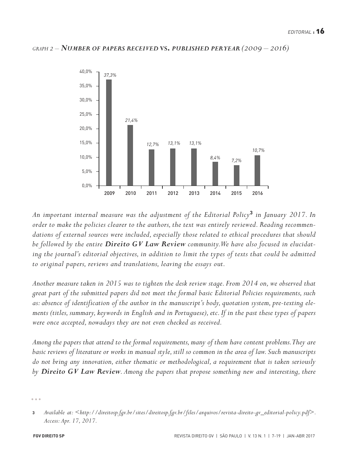#### *GRAPH 2 –NUMBER OF PAPERS RECEIVED* **VS.** *PUBLISHED PERYEAR (2009 – 2016)*



*An important internal measure was the adjustment of the Editorial Policy***<sup>3</sup>** *in January 2017. In order to make the policies clearer to the authors, the text was entirely reviewed. Reading recommendations of external sources were included, especially those related to ethical procedures that should be followed by the entire Direito GV Law Review community.We have also focused in elucidating the journal's editorial objectives, in addition to limit the types of texts that could be admitted to original papers, reviews and translations, leaving the essays out.*

*Another measure taken in 2015 was to tighten the desk review stage. From 2014 on, we observed that great part of the submitted papers did not meet the formal basic Editorial Policies requirements, such as:absence of identification of the author in the manuscript's body,quotation system,pre-texting elements (titles, summary,keywords in English and in Portuguese),etc. If in the past these types of papers were once accepted, nowadays they are not even checked as received.*

*Among the papers that attend to the formal requirements,many of them have content problems.They are* basic reviews of literature or works in manual style, still so common in the area of law. Such manuscripts *do not bring any innovation, either thematic or methodological,a requirement that is taken seriously by Direito GV Law Review. Among the papers that propose something new and interesting, there*

**<sup>3</sup>** *Available at: [<http://direitosp.fgv.br/sites/direitosp.fgv.br/files/arquivos/revista-direito-gv\\_editorial-policy.pdf>](http://direitosp.fgv.br/sites/direitosp.fgv.br/files/arquivos/revista-direito-gv_editorial-policy.pdf). Access: Apr. 17, 2017.*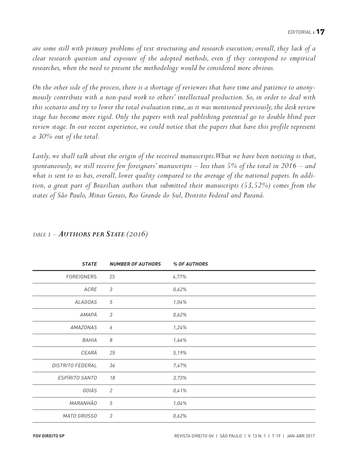*are some still with primary problems of text structuring and research execution;overall, they lack of a clear research question and exposure of the adopted methods, even if they correspond to empirical researches, when the need to present the methodology would be considered more obvious.*

On the other side of the process, there is a shortage of reviewers that have time and patience to anony*mously contribute with a non-paid work to others' intellectual production. So, in order to deal with this scenario and try to lower the total evaluation time,as it was mentioned previously, the desk review stage has become more rigid. Only the papers with real publishing potential go to double blind peer review stage. In our recent experience, we could notice that the papers that have this profile represent a 30% out of the total.*

*Lastly, we shall talk about the origin of the received manuscripts.What we have been noticing is that,* spontaneously, we still receive few foreigners' manuscripts – less than 5% of the total in 2016 – and what is sent to us has, overall, lower quality compared to the average of the national papers. In addi*tion, a great part of Brazilian authors that submitted their manuscripts (53,52%) comes from the states of São Paulo, Minas Gerais, Rio Grande do Sul, Distrito Federal and Paraná.*

| <b>STATE</b>            | <b>NUMBER OF AUTHORS</b>   | % OF AUTHORS |
|-------------------------|----------------------------|--------------|
| FOREIGNERS              | 23                         | 4,77%        |
| ACRE                    | $\mathfrak{Z}$             | 0,62%        |
| <b>ALAGOAS</b>          | 5                          | 1,04%        |
| AMAPÁ                   | $\ensuremath{\mathcal{S}}$ | 0,62%        |
| <b>AMAZONAS</b>         | 6                          | 1,24%        |
| BAHIA                   | $\boldsymbol{\mathcal{S}}$ | 1,66%        |
| CEARÁ                   | 25                         | 5,19%        |
| <b>DISTRITO FEDERAL</b> | 36                         | 7,47%        |
| ESPÍRITO SANTO          | 18                         | 3,73%        |
| GOIÁS                   | $\mathfrak{2}$             | 0,41%        |
| <b>MARANHÃO</b>         | 5                          | 1,04%        |
| MATO GROSSO             | $\mathfrak z$              | 0,62%        |

### *TABLE 1 – AUTHORS PER STATE (2016)*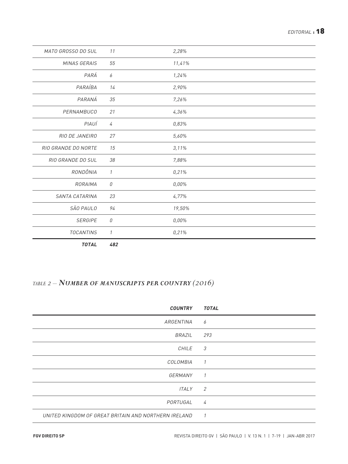| MATO GROSSO DO SUL  | 11                                           | 2,28%    |
|---------------------|----------------------------------------------|----------|
| MINAS GERAIS        | 55                                           | 11,41%   |
| PARÁ                | 6                                            | 1,24%    |
| PARAÍBA             | 14                                           | 2,90%    |
| PARANÁ              | 35                                           | 7,26%    |
| PERNAMBUCO          | 21                                           | 4,36%    |
| PIAUÍ               | 4                                            | 0,83%    |
| RIO DE JANEIRO      | 27                                           | 5,60%    |
| RIO GRANDE DO NORTE | 15                                           | 3,11%    |
| RIO GRANDE DO SUL   | 38                                           | 7,88%    |
| RONDÔNIA            | $\mathcal{I}$                                | 0,21%    |
| RORAIMA             | $\mathcal{O}% _{M}\left( \mathcal{M}\right)$ | $0,00\%$ |
| SANTA CATARINA      | 23                                           | 4,77%    |
| SÃO PAULO           | 94                                           | 19,50%   |
| <b>SERGIPE</b>      | $\mathcal{O}% _{M}\left( \mathcal{M}\right)$ | $0,00\%$ |
| <b>TOCANTINS</b>    | $\mathcal{I}$                                | 0,21%    |
|                     |                                              |          |

*TOTAL 482*

## *TABLE 2 –NUMBER OF MANUSCRIPTS PER COUNTRY (2016)*

| <b>COUNTRY</b>                                       | <b>TOTAL</b>   |
|------------------------------------------------------|----------------|
| ARGENTINA                                            | 6              |
| BRAZIL                                               | 293            |
| CHILE                                                | 3              |
| COLOMBIA                                             | $\mathcal{I}$  |
| GERMANY                                              | $\overline{1}$ |
| <b>ITALY</b>                                         | 2              |
| PORTUGAL                                             | $\overline{4}$ |
| UNITED KINGDOM OF GREAT BRITAIN AND NORTHERN IRELAND | $\mathcal{I}$  |